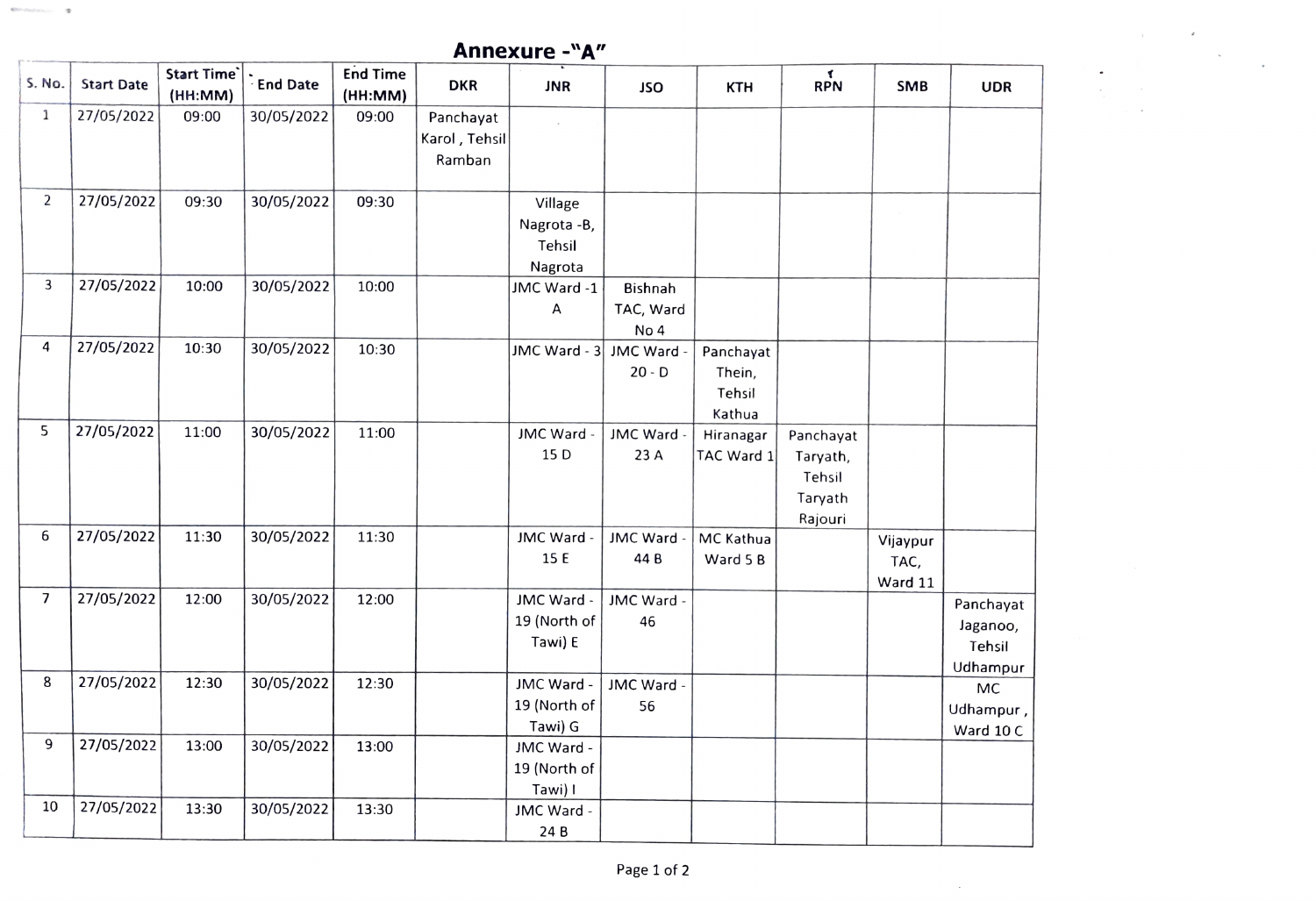| <b>SECONDARY</b><br>Annexure -"A" |                   |                        |                 |                            |                                      |                                             |  |  |  |
|-----------------------------------|-------------------|------------------------|-----------------|----------------------------|--------------------------------------|---------------------------------------------|--|--|--|
| S. No.                            | <b>Start Date</b> | Start Time`<br>(HH:MM) | <b>End Date</b> | <b>End Time</b><br>(HH:MM) | <b>DKR</b>                           | <b>JNR</b>                                  |  |  |  |
| 1                                 | 27/05/2022        | 09:00                  | 30/05/2022      | 09:00                      | Panchayat<br>Karol, Tehsil<br>Ramban |                                             |  |  |  |
| $\overline{2}$                    | 27/05/2022        | 09:30                  | 30/05/2022      | 09:30                      |                                      | Village<br>Nagrota -B,<br>Tehsil<br>Nagrota |  |  |  |

| S. No.         | <b>Start Date</b> | Start Time`<br>(HH:MM) | $\frac{1}{2}$ End Date | <b>End Time</b><br>(HH:MM) | <b>DKR</b>                           | <b>JNR</b>                                  | <b>JSO</b>                   | <b>KTH</b>                              | RPN                                                   | <b>SMB</b>                  | <b>UDR</b>                                  |
|----------------|-------------------|------------------------|------------------------|----------------------------|--------------------------------------|---------------------------------------------|------------------------------|-----------------------------------------|-------------------------------------------------------|-----------------------------|---------------------------------------------|
| $\mathbf{1}$   | 27/05/2022        | 09:00                  | 30/05/2022             | 09:00                      | Panchayat<br>Karol, Tehsil<br>Ramban |                                             |                              |                                         |                                                       |                             |                                             |
| $\overline{2}$ | 27/05/2022        | 09:30                  | 30/05/2022             | 09:30                      |                                      | Village<br>Nagrota -B,<br>Tehsil<br>Nagrota |                              |                                         |                                                       |                             |                                             |
| 3              | 27/05/2022        | 10:00                  | 30/05/2022             | 10:00                      |                                      | JMC Ward -1<br>Α                            | Bishnah<br>TAC, Ward<br>No 4 |                                         |                                                       |                             |                                             |
| $\overline{4}$ | 27/05/2022        | 10:30                  | 30/05/2022             | 10:30                      |                                      | JMC Ward - 3                                | JMC Ward -<br>$20 - D$       | Panchayat<br>Thein,<br>Tehsil<br>Kathua |                                                       |                             |                                             |
| 5              | 27/05/2022        | 11:00                  | 30/05/2022             | 11:00                      |                                      | JMC Ward -<br>15 D                          | JMC Ward -<br>23 A           | Hiranagar<br>TAC Ward 1                 | Panchayat<br>Taryath,<br>Tehsil<br>Taryath<br>Rajouri |                             |                                             |
| 6              | 27/05/2022        | 11:30                  | 30/05/2022             | 11:30                      |                                      | JMC Ward -<br>15 E                          | JMC Ward -<br>44 B           | MC Kathua<br>Ward 5 B                   |                                                       | Vijaypur<br>TAC,<br>Ward 11 |                                             |
| $\overline{7}$ | 27/05/2022        | 12:00                  | 30/05/2022             | 12:00                      |                                      | JMC Ward -<br>19 (North of<br>Tawi) E       | JMC Ward -<br>46             |                                         |                                                       |                             | Panchayat<br>Jaganoo,<br>Tehsil<br>Udhampur |
| 8              | 27/05/2022        | 12:30                  | 30/05/2022             | 12:30                      |                                      | JMC Ward -<br>19 (North of<br>Tawi) G       | JMC Ward -<br>56             |                                         |                                                       |                             | MC<br>Udhampur,<br>Ward 10 C                |
| 9              | 27/05/2022        | 13:00                  | 30/05/2022             | 13:00                      |                                      | JMC Ward -<br>19 (North of<br>Tawi) I       |                              |                                         |                                                       |                             |                                             |
| 10             | 27/05/2022        | 13:30                  | 30/05/2022             | 13:30                      |                                      | JMC Ward -<br>24B                           |                              |                                         |                                                       |                             |                                             |